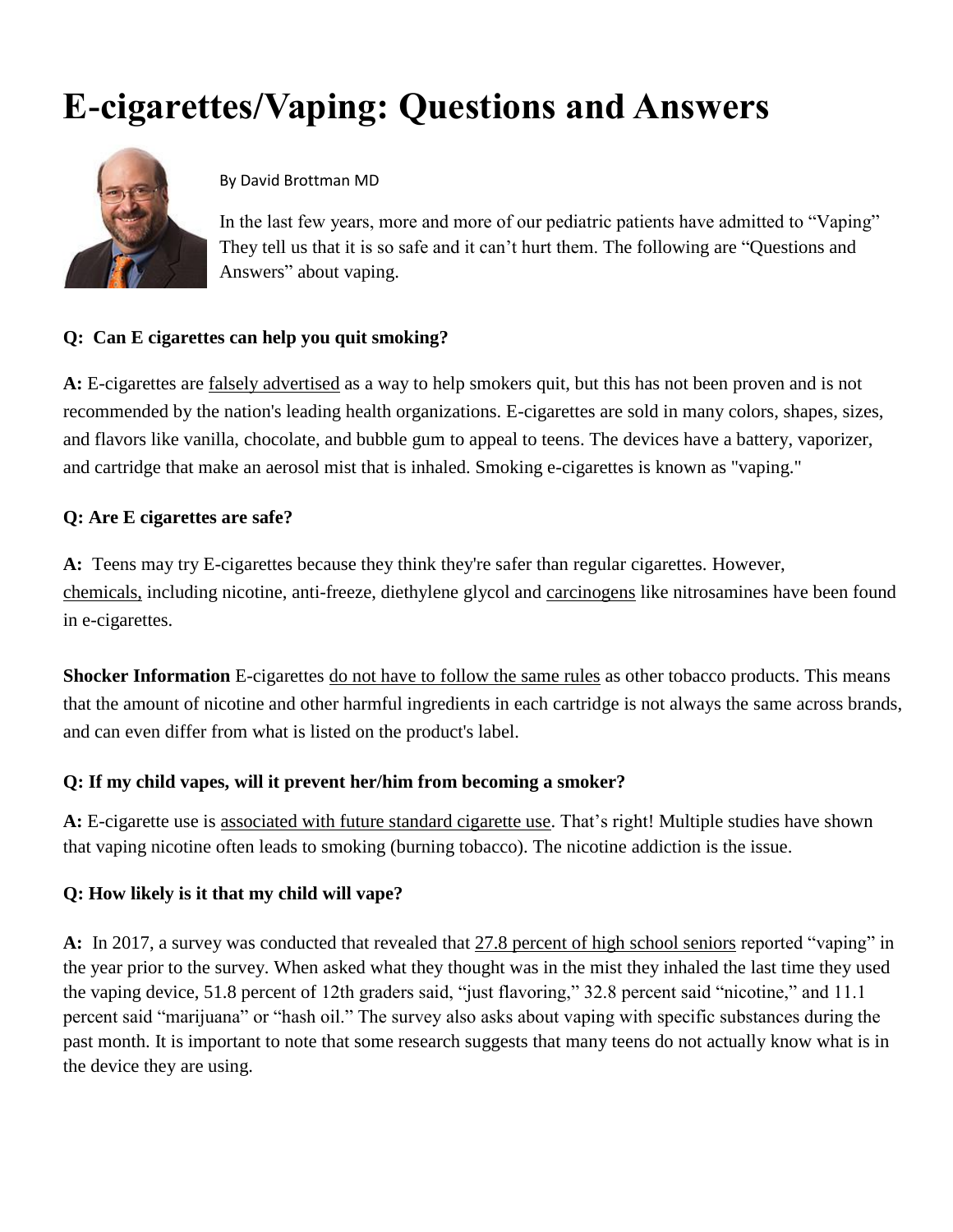# **E-cigarettes/Vaping: Questions and Answers**



### By David Brottman MD

In the last few years, more and more of our pediatric patients have admitted to "Vaping" They tell us that it is so safe and it can't hurt them. The following are "Questions and Answers" about vaping.

### **Q: Can E cigarettes can help you quit smoking?**

**A:** E-cigarettes are falsely advertised as a way to help smokers quit, but this has not been proven and is not recommended by the nation's leading health organizations. E-cigarettes are sold in many colors, shapes, sizes, and flavors like vanilla, chocolate, and bubble gum to appeal to teens. The devices have a battery, vaporizer, and cartridge that make an aerosol mist that is inhaled. Smoking e-cigarettes is known as "vaping."

### **Q: Are E cigarettes are safe?**

**A:** Teens may try E-cigarettes because they think they're safer than regular cigarettes. However, chemicals, including nicotine, anti-freeze, diethylene glycol and carcinogens like nitrosamines have been found in e-cigarettes.

**Shocker Information** E-cigarettes do not have to follow the same rules as other tobacco products. This means that the amount of nicotine and other harmful ingredients in each cartridge is not always the same across brands, and can even differ from what is listed on the product's label.

# **Q: If my child vapes, will it prevent her/him from becoming a smoker?**

**A:** E-cigarette use is associated with future standard cigarette use. That's right! Multiple studies have shown that vaping nicotine often leads to smoking (burning tobacco). The nicotine addiction is the issue.

# **Q: How likely is it that my child will vape?**

**A:** In 2017, a survey was conducted that revealed that 27.8 percent of high school seniors reported "vaping" in the year prior to the survey. When asked what they thought was in the mist they inhaled the last time they used the vaping device, 51.8 percent of 12th graders said, "just flavoring," 32.8 percent said "nicotine," and 11.1 percent said "marijuana" or "hash oil." The survey also asks about vaping with specific substances during the past month. It is important to note that some research suggests that many teens do not actually know what is in the device they are using.